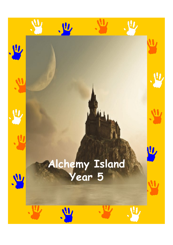## **Alchemy Island Year 5**

**. W** 

业

**VI** 

**All** 

.业

 $\boldsymbol{\mathsf{U}}$ 

L

W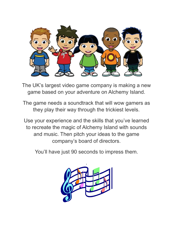

The UK's largest video game company is making a new game based on your adventure on Alchemy Island.

The game needs a soundtrack that will wow gamers as they play their way through the trickiest levels.

Use your experience and the skills that you've learned to recreate the magic of Alchemy Island with sounds and music. Then pitch your ideas to the game company's board of directors.

You'll have just 90 seconds to impress them.

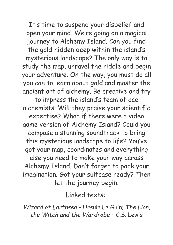It's time to suspend your disbelief and open your mind. We're going on a magical journey to Alchemy Island. Can you find the gold hidden deep within the island's mysterious landscape? The only way is to study the map, unravel the riddle and begin your adventure. On the way, you must do all you can to learn about gold and master the ancient art of alchemy. Be creative and try to impress the island's team of ace alchemists. Will they praise your scientific expertise? What if there were a video game version of Alchemy Island? Could you compose a stunning soundtrack to bring

this mysterious landscape to life? You' ve got your map, coordinates and everything else you need to make your way across Alchemy Island. Don't forget to pack your imagination. Got your suitcase ready? Then let the journey begin.

Linked texts:

*Wizard of Earthsea* – Ursula Le Guin; *The Lion, the Witch and the Wardrobe* – C.S. Lewis